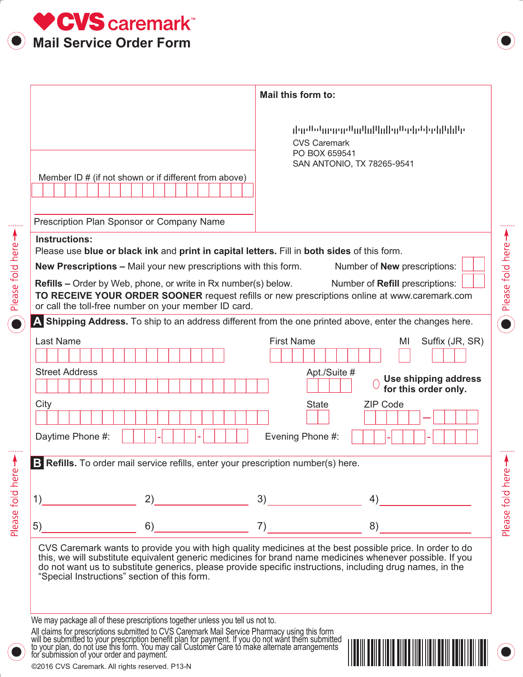

|                                                                                                                                                                                                                                                                                                                                                                                                        | Mail this form to:                                                                                                                                                                                                   |  |
|--------------------------------------------------------------------------------------------------------------------------------------------------------------------------------------------------------------------------------------------------------------------------------------------------------------------------------------------------------------------------------------------------------|----------------------------------------------------------------------------------------------------------------------------------------------------------------------------------------------------------------------|--|
| Member ID # (if not shown or if different from above)<br>Prescription Plan Sponsor or Company Name                                                                                                                                                                                                                                                                                                     | والرازا واواولوا والماران الرزاليون ووروسا والرازار<br><b>CVS Caremark</b><br>PO BOX 659541<br>SAN ANTONIO, TX 78265-9541                                                                                            |  |
| <b>Instructions:</b>                                                                                                                                                                                                                                                                                                                                                                                   |                                                                                                                                                                                                                      |  |
| Please use blue or black ink and print in capital letters. Fill in both sides of this form.<br><b>New Prescriptions - Mail your new prescriptions with this form.</b><br><b>Refills</b> – Order by Web, phone, or write in Rx number(s) below.<br>TO RECEIVE YOUR ORDER SOONER request refills or new prescriptions online at www.caremark.com<br>or call the toll-free number on your member ID card. | Number of <b>New</b> prescriptions:<br>Number of Refill prescriptions:                                                                                                                                               |  |
| A Shipping Address. To ship to an address different from the one printed above, enter the changes here.                                                                                                                                                                                                                                                                                                |                                                                                                                                                                                                                      |  |
| <b>Last Name</b>                                                                                                                                                                                                                                                                                                                                                                                       | <b>First Name</b><br>Suffix (JR, SR)<br>MI                                                                                                                                                                           |  |
| <b>Street Address</b>                                                                                                                                                                                                                                                                                                                                                                                  | Apt./Suite #<br>Use shipping address<br>for this order only.                                                                                                                                                         |  |
| City<br>Daytime Phone #:                                                                                                                                                                                                                                                                                                                                                                               | <b>ZIP Code</b><br><b>State</b><br>Evening Phone #:                                                                                                                                                                  |  |
| B Refills. To order mail service refills, enter your prescription number(s) here.                                                                                                                                                                                                                                                                                                                      |                                                                                                                                                                                                                      |  |
| 1)<br>2)                                                                                                                                                                                                                                                                                                                                                                                               | 3)<br>4)                                                                                                                                                                                                             |  |
| 5)<br>6)                                                                                                                                                                                                                                                                                                                                                                                               | 7)<br>8)                                                                                                                                                                                                             |  |
| do not want us to substitute generics, please provide specific instructions, including drug names, in the<br>"Special Instructions" section of this form.                                                                                                                                                                                                                                              | CVS Caremark wants to provide you with high quality medicines at the best possible price. In order to do<br>this, we will substitute equivalent generic medicines for brand name medicines whenever possible. If you |  |

║

We may package all of these prescriptions together unless you tell us not to.

All claims for prescriptions submitted to CVS Caremark Mail Service Pharmacy using this form will be submitted to your prescription benefit plan for payment. If you do not want them submitted<br>to your plan, do not use this form. You may call Customer Care to make alternate arrangements for submission of your order and payment.

Please fold here >



Please fold here >

Please fold here -

©2016 CVS Caremark. All rights reserved. P13-N